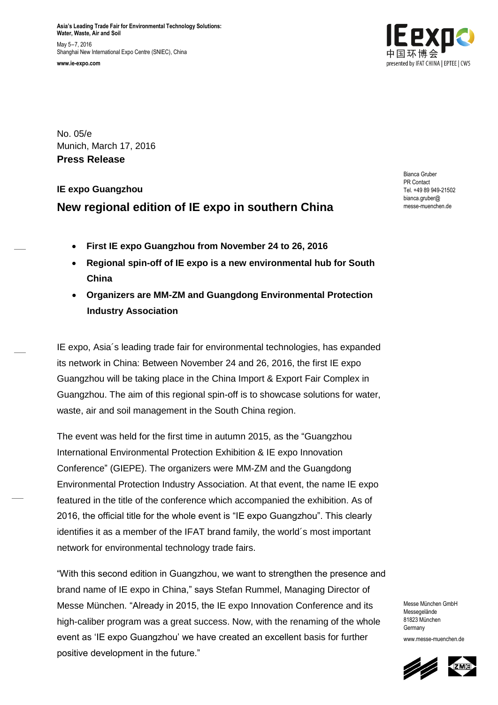**Asia's Leading Trade Fair for Environmental Technology Solutions: Water, Waste, Air and Soil** May 5–7, 2016 Shanghai New International Expo Centre (SNIEC), China **www.ie-expo.com**



No. 05/e Munich, March 17, 2016 **Press Release**

# **IE expo Guangzhou New regional edition of IE expo in southern China**

Bianca Gruber PR Contact Tel. +49 89 949-21502 bianca.gruber@ messe-muenchen.de

- **First IE expo Guangzhou from November 24 to 26, 2016**
- **Regional spin-off of IE expo is a new environmental hub for South China**
- **Organizers are MM-ZM and Guangdong Environmental Protection Industry Association**

IE expo, Asia´s leading trade fair for environmental technologies, has expanded its network in China: Between November 24 and 26, 2016, the first IE expo Guangzhou will be taking place in the China Import & Export Fair Complex in Guangzhou. The aim of this regional spin-off is to showcase solutions for water, waste, air and soil management in the South China region.

The event was held for the first time in autumn 2015, as the "Guangzhou International Environmental Protection Exhibition & IE expo Innovation Conference" (GIEPE). The organizers were MM-ZM and the Guangdong Environmental Protection Industry Association. At that event, the name IE expo featured in the title of the conference which accompanied the exhibition. As of 2016, the official title for the whole event is "IE expo Guangzhou". This clearly identifies it as a member of the IFAT brand family, the world´s most important network for environmental technology trade fairs.

"With this second edition in Guangzhou, we want to strengthen the presence and brand name of IE expo in China," says Stefan Rummel, Managing Director of Messe München. "Already in 2015, the IE expo Innovation Conference and its high-caliber program was a great success. Now, with the renaming of the whole event as 'IE expo Guangzhou' we have created an excellent basis for further positive development in the future."

Messe München GmbH Messegelände 81823 München **Germany** www.messe-muenchen.de

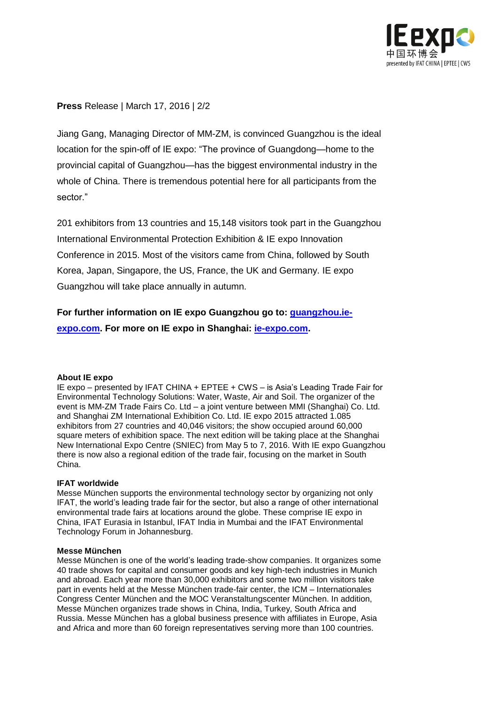

**Press** Release | March 17, 2016 | 2/2

Jiang Gang, Managing Director of MM-ZM, is convinced Guangzhou is the ideal location for the spin-off of IE expo: "The province of Guangdong—home to the provincial capital of Guangzhou—has the biggest environmental industry in the whole of China. There is tremendous potential here for all participants from the sector."

201 exhibitors from 13 countries and 15,148 visitors took part in the Guangzhou International Environmental Protection Exhibition & IE expo Innovation Conference in 2015. Most of the visitors came from China, followed by South Korea, Japan, Singapore, the US, France, the UK and Germany. IE expo Guangzhou will take place annually in autumn.

## **For further information on IE expo Guangzhou go to: [guangzhou.ie-](http://guangzhou.ie-expo.com/)**

**[expo.com.](http://guangzhou.ie-expo.com/) For more on IE expo in Shanghai: [ie-expo.com.](http://www.ie-expo.com/)**

#### **About IE expo**

IE expo – presented by IFAT CHINA + EPTEE + CWS – is Asia's Leading Trade Fair for Environmental Technology Solutions: Water, Waste, Air and Soil. The organizer of the event is MM-ZM Trade Fairs Co. Ltd – a joint venture between MMI (Shanghai) Co. Ltd. and Shanghai ZM International Exhibition Co. Ltd. IE expo 2015 attracted 1.085 exhibitors from 27 countries and 40,046 visitors; the show occupied around 60,000 square meters of exhibition space. The next edition will be taking place at the Shanghai New International Expo Centre (SNIEC) from May 5 to 7, 2016. With IE expo Guangzhou there is now also a regional edition of the trade fair, focusing on the market in South China.

#### **IFAT worldwide**

Messe München supports the environmental technology sector by organizing not only IFAT, the world's leading trade fair for the sector, but also a range of other international environmental trade fairs at locations around the globe. These comprise IE expo in China, IFAT Eurasia in Istanbul, IFAT India in Mumbai and the IFAT Environmental Technology Forum in Johannesburg.

#### **Messe München**

Messe München is one of the world's leading trade-show companies. It organizes some 40 trade shows for capital and consumer goods and key high-tech industries in Munich and abroad. Each year more than 30,000 exhibitors and some two million visitors take part in events held at the Messe München trade-fair center, the ICM – Internationales Congress Center München and the MOC Veranstaltungscenter München. In addition, Messe München organizes trade shows in China, India, Turkey, South Africa and Russia. Messe München has a global business presence with affiliates in Europe, Asia and Africa and more than 60 foreign representatives serving more than 100 countries.